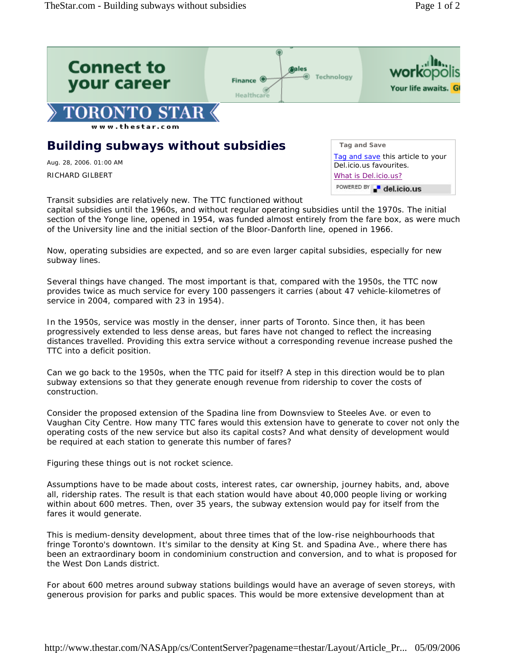

Transit subsidies are relatively new. The TTC functioned without capital subsidies until the 1960s, and without regular operating subsidies until the 1970s. The initial section of the Yonge line, opened in 1954, was funded almost entirely from the fare box, as were much of the University line and the initial section of the Bloor-Danforth line, opened in 1966.

Now, operating subsidies are expected, and so are even larger capital subsidies, especially for new subway lines.

Several things have changed. The most important is that, compared with the 1950s, the TTC now provides twice as much service for every 100 passengers it carries (about 47 vehicle-kilometres of service in 2004, compared with 23 in 1954).

In the 1950s, service was mostly in the denser, inner parts of Toronto. Since then, it has been progressively extended to less dense areas, but fares have not changed to reflect the increasing distances travelled. Providing this extra service without a corresponding revenue increase pushed the TTC into a deficit position.

Can we go back to the 1950s, when the TTC paid for itself? A step in this direction would be to plan subway extensions so that they generate enough revenue from ridership to cover the costs of construction.

Consider the proposed extension of the Spadina line from Downsview to Steeles Ave. or even to Vaughan City Centre. How many TTC fares would this extension have to generate to cover not only the operating costs of the new service but also its capital costs? And what density of development would be required at each station to generate this number of fares?

Figuring these things out is not rocket science.

Assumptions have to be made about costs, interest rates, car ownership, journey habits, and, above all, ridership rates. The result is that each station would have about 40,000 people living or working within about 600 metres. Then, over 35 years, the subway extension would pay for itself from the fares it would generate.

This is medium-density development, about three times that of the low-rise neighbourhoods that fringe Toronto's downtown. It's similar to the density at King St. and Spadina Ave., where there has been an extraordinary boom in condominium construction and conversion, and to what is proposed for the West Don Lands district.

For about 600 metres around subway stations buildings would have an average of seven storeys, with generous provision for parks and public spaces. This would be more extensive development than at